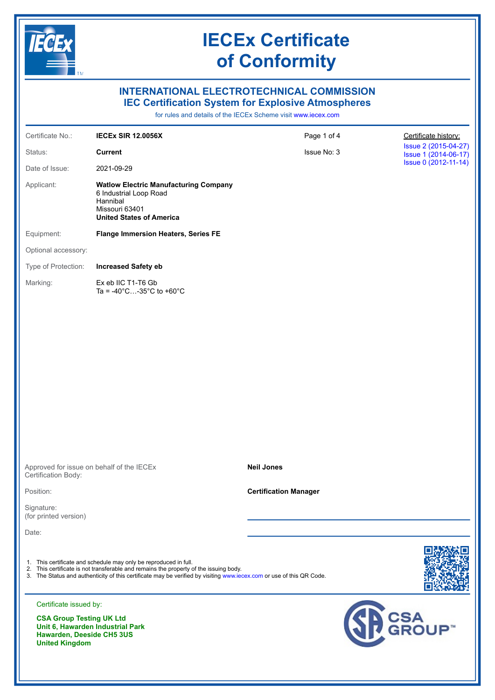

### **INTERNATIONAL ELECTROTECHNICAL COMMISSION IEC Certification System for Explosive Atmospheres**

for rules and details of the IECEx Scheme visit [www.iecex.com](https://www.iecex.com)

| Certificate No.:                                                                                                          | <b>IECEX SIR 12.0056X</b>                                                                                                                                                                                                                                                         | Page 1 of 4                  | Certificate history:                         |
|---------------------------------------------------------------------------------------------------------------------------|-----------------------------------------------------------------------------------------------------------------------------------------------------------------------------------------------------------------------------------------------------------------------------------|------------------------------|----------------------------------------------|
| Status:                                                                                                                   | <b>Current</b>                                                                                                                                                                                                                                                                    | Issue No: 3                  | Issue 2 (2015-04-27)<br>Issue 1 (2014-06-17) |
| Date of Issue:                                                                                                            | 2021-09-29                                                                                                                                                                                                                                                                        |                              | Issue 0 (2012-11-14)                         |
| Applicant:                                                                                                                | <b>Watlow Electric Manufacturing Company</b><br>6 Industrial Loop Road<br>Hannibal<br>Missouri 63401<br><b>United States of America</b>                                                                                                                                           |                              |                                              |
| Equipment:                                                                                                                | <b>Flange Immersion Heaters, Series FE</b>                                                                                                                                                                                                                                        |                              |                                              |
| Optional accessory:                                                                                                       |                                                                                                                                                                                                                                                                                   |                              |                                              |
| Type of Protection:                                                                                                       | <b>Increased Safety eb</b>                                                                                                                                                                                                                                                        |                              |                                              |
| Marking:                                                                                                                  | Ex eb IIC T1-T6 Gb<br>Ta = -40°C-35°C to +60°C                                                                                                                                                                                                                                    |                              |                                              |
|                                                                                                                           |                                                                                                                                                                                                                                                                                   |                              |                                              |
|                                                                                                                           |                                                                                                                                                                                                                                                                                   |                              |                                              |
|                                                                                                                           |                                                                                                                                                                                                                                                                                   |                              |                                              |
|                                                                                                                           |                                                                                                                                                                                                                                                                                   |                              |                                              |
|                                                                                                                           |                                                                                                                                                                                                                                                                                   |                              |                                              |
|                                                                                                                           |                                                                                                                                                                                                                                                                                   |                              |                                              |
|                                                                                                                           |                                                                                                                                                                                                                                                                                   |                              |                                              |
|                                                                                                                           |                                                                                                                                                                                                                                                                                   |                              |                                              |
|                                                                                                                           |                                                                                                                                                                                                                                                                                   |                              |                                              |
| Approved for issue on behalf of the IECEx<br>Certification Body:                                                          |                                                                                                                                                                                                                                                                                   | <b>Neil Jones</b>            |                                              |
| Position:                                                                                                                 |                                                                                                                                                                                                                                                                                   | <b>Certification Manager</b> |                                              |
| Signature:<br>(for printed version)                                                                                       |                                                                                                                                                                                                                                                                                   |                              |                                              |
| Date:                                                                                                                     |                                                                                                                                                                                                                                                                                   |                              |                                              |
|                                                                                                                           |                                                                                                                                                                                                                                                                                   |                              |                                              |
|                                                                                                                           | 1. This certificate and schedule may only be reproduced in full.<br>2. This certificate is not transferable and remains the property of the issuing body.<br>3. The Status and authenticity of this certificate may be verified by visiting www.iecex.com or use of this QR Code. |                              |                                              |
| Certificate issued by:                                                                                                    |                                                                                                                                                                                                                                                                                   |                              |                                              |
| <b>CSA Group Testing UK Ltd</b><br>Unit 6, Hawarden Industrial Park<br>Hawarden, Deeside CH5 3US<br><b>United Kingdom</b> |                                                                                                                                                                                                                                                                                   |                              | <b>CSA<br/>GROUP</b>                         |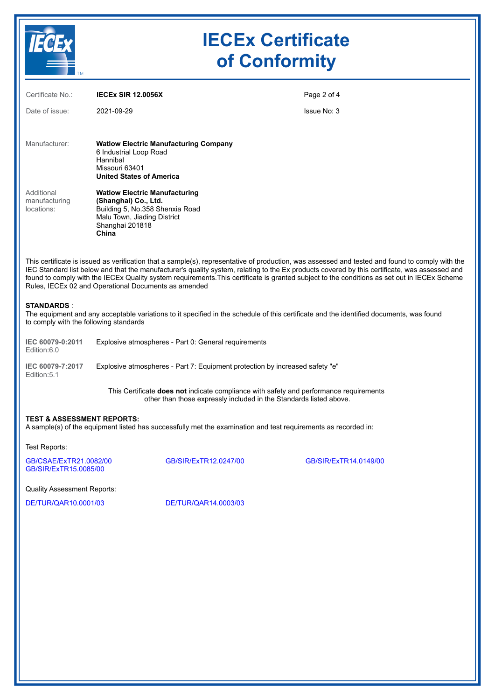

| Certificate No.:                                            | <b>IECEX SIR 12.0056X</b>                                                                                                                                                                                                                                                                                                                                                                                                                                                                                | Page 2 of 4 |  |
|-------------------------------------------------------------|----------------------------------------------------------------------------------------------------------------------------------------------------------------------------------------------------------------------------------------------------------------------------------------------------------------------------------------------------------------------------------------------------------------------------------------------------------------------------------------------------------|-------------|--|
| Date of issue:                                              | 2021-09-29                                                                                                                                                                                                                                                                                                                                                                                                                                                                                               | Issue No: 3 |  |
| Manufacturer:                                               | <b>Watlow Electric Manufacturing Company</b><br>6 Industrial Loop Road<br>Hannibal<br>Missouri 63401<br><b>United States of America</b>                                                                                                                                                                                                                                                                                                                                                                  |             |  |
| Additional<br>manufacturing<br>locations:                   | <b>Watlow Electric Manufacturing</b><br>(Shanghai) Co., Ltd.<br>Building 5, No.358 Shenxia Road<br>Malu Town, Jiading District<br>Shanghai 201818<br>China                                                                                                                                                                                                                                                                                                                                               |             |  |
|                                                             | This certificate is issued as verification that a sample(s), representative of production, was assessed and tested and found to comply with the<br>IEC Standard list below and that the manufacturer's quality system, relating to the Ex products covered by this certificate, was assessed and<br>found to comply with the IECEx Quality system requirements. This certificate is granted subject to the conditions as set out in IECEx Scheme<br>Rules, IECEx 02 and Operational Documents as amended |             |  |
| <b>STANDARDS:</b><br>to comply with the following standards | The equipment and any acceptable variations to it specified in the schedule of this certificate and the identified documents, was found                                                                                                                                                                                                                                                                                                                                                                  |             |  |
| IEC 60079-0:2011<br>Edition:6.0                             | Explosive atmospheres - Part 0: General requirements                                                                                                                                                                                                                                                                                                                                                                                                                                                     |             |  |
| IEC 60079-7:2017<br>Edition: 5.1                            | Explosive atmospheres - Part 7: Equipment protection by increased safety "e"                                                                                                                                                                                                                                                                                                                                                                                                                             |             |  |
|                                                             | This Certificate does not indicate compliance with safety and performance requirements<br>other than those expressly included in the Standards listed above.                                                                                                                                                                                                                                                                                                                                             |             |  |
| <b>TEST &amp; ASSESSMENT REPORTS:</b>                       | A sample(s) of the equipment listed has successfully met the examination and test requirements as recorded in:                                                                                                                                                                                                                                                                                                                                                                                           |             |  |
| Test Reports:                                               |                                                                                                                                                                                                                                                                                                                                                                                                                                                                                                          |             |  |

[GB/CSAE/ExTR21.0082/00](https://www.iecex-certs.com/#/deliverables/REPORT/77585/view) [GB/SIR/ExTR12.0247/00](https://www.iecex-certs.com/#/deliverables/REPORT/25502/view) [GB/SIR/ExTR14.0149/00](https://www.iecex-certs.com/#/deliverables/REPORT/26730/view) [GB/SIR/ExTR15.0085/00](https://www.iecex-certs.com/#/deliverables/REPORT/26497/view)

Quality Assessment Reports:

[DE/TUR/QAR10.0001/03](https://www.iecex-certs.com/#/deliverables/REPORT/44620/view) [DE/TUR/QAR14.0003/03](https://www.iecex-certs.com/#/deliverables/REPORT/72925/view)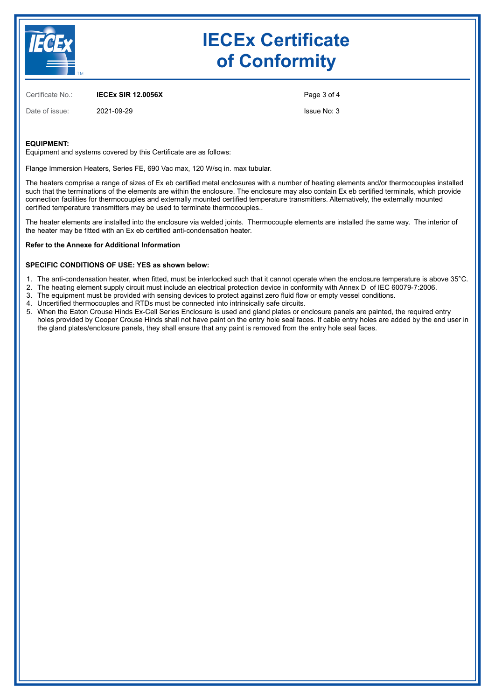

Certificate No.: **IECEx SIR 12.0056X**

Date of issue: 2021-09-29

Page 3 of 4

Issue No: 3

### **EQUIPMENT:**

Equipment and systems covered by this Certificate are as follows:

Flange Immersion Heaters, Series FE, 690 Vac max, 120 W/sq in. max tubular.

The heaters comprise a range of sizes of Ex eb certified metal enclosures with a number of heating elements and/or thermocouples installed such that the terminations of the elements are within the enclosure. The enclosure may also contain Ex eb certified terminals, which provide connection facilities for thermocouples and externally mounted certified temperature transmitters. Alternatively, the externally mounted certified temperature transmitters may be used to terminate thermocouples..

The heater elements are installed into the enclosure via welded joints. Thermocouple elements are installed the same way. The interior of the heater may be fitted with an Ex eb certified anti-condensation heater.

#### **Refer to the Annexe for Additional Information**

#### **SPECIFIC CONDITIONS OF USE: YES as shown below:**

- 1. The anti-condensation heater, when fitted, must be interlocked such that it cannot operate when the enclosure temperature is above 35°C.
- 2. The heating element supply circuit must include an electrical protection device in conformity with Annex D of IEC 60079-7:2006.
- 3. The equipment must be provided with sensing devices to protect against zero fluid flow or empty vessel conditions.
- 4. Uncertified thermocouples and RTDs must be connected into intrinsically safe circuits.
- 5. When the Eaton Crouse Hinds Ex-Cell Series Enclosure is used and gland plates or enclosure panels are painted, the required entry holes provided by Cooper Crouse Hinds shall not have paint on the entry hole seal faces. If cable entry holes are added by the end user in the gland plates/enclosure panels, they shall ensure that any paint is removed from the entry hole seal faces.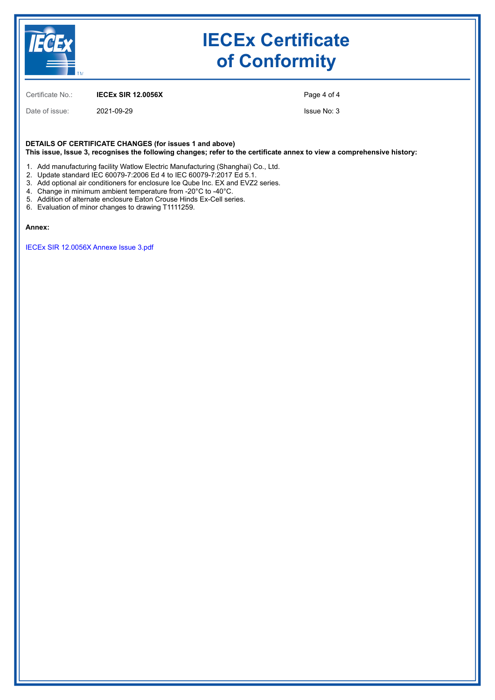

Certificate No.: **IECEx SIR 12.0056X**

Date of issue: 2021-09-29

Page 4 of 4 Issue No: 3

#### **DETAILS OF CERTIFICATE CHANGES (for issues 1 and above) This issue, Issue 3, recognises the following changes; refer to the certificate annex to view a comprehensive history:**

- 1. Add manufacturing facility Watlow Electric Manufacturing (Shanghai) Co., Ltd.
- 2. Update standard IEC 60079-7:2006 Ed 4 to IEC 60079-7:2017 Ed 5.1.
- 3. Add optional air conditioners for enclosure Ice Qube Inc. EX and EVZ2 series.
- 4. Change in minimum ambient temperature from -20°C to -40°C.
- 5. Addition of alternate enclosure Eaton Crouse Hinds Ex-Cell series.
- 6. Evaluation of minor changes to drawing T1111259.

#### **Annex:**

[IECEx SIR 12.0056X Annexe Issue 3.pdf](https://www.iecex-certs.com/#/deliverables/CERT/56804/view)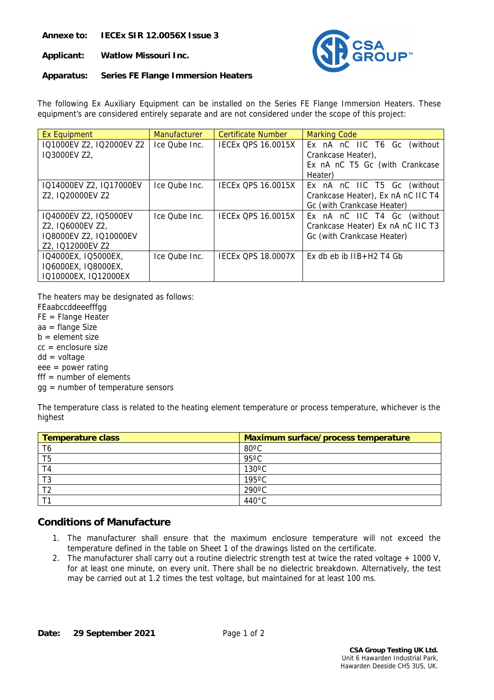**Annexe to: IECEx SIR 12.0056X Issue 3** 

**Applicant: Watlow Missouri Inc.** 



**Apparatus: Series FE Flange Immersion Heaters** 

The following Ex Auxiliary Equipment can be installed on the Series FE Flange Immersion Heaters. These equipment's are considered entirely separate and are not considered under the scope of this project:

| <b>Ex Equipment</b>      | <b>Manufacturer</b> | Certificate Number        | <b>Marking Code</b>                |
|--------------------------|---------------------|---------------------------|------------------------------------|
| IQ1000EV Z2, IQ2000EV Z2 | Ice Qube Inc.       | <b>IECEX OPS 16.0015X</b> | Ex nA nC IIC T6 Gc<br>(without)    |
| IQ3000EV Z2,             |                     |                           | Crankcase Heater),                 |
|                          |                     |                           | Ex nA nC T5 Gc (with Crankcase     |
|                          |                     |                           | Heater)                            |
| IQ14000EV Z2, IQ17000EV  | Ice Qube Inc.       | <b>IECEX OPS 16.0015X</b> | Ex nA nC IIC T5 Gc (without        |
| Z2, IQ20000EV Z2         |                     |                           | Crankcase Heater), Ex nA nC IIC T4 |
|                          |                     |                           | Gc (with Crankcase Heater)         |
| IQ4000EV Z2, IQ5000EV    | Ice Qube Inc.       | <b>IECEX QPS 16.0015X</b> | Ex nA nC IIC T4 Gc (without        |
| Z2, IQ6000EV Z2,         |                     |                           | Crankcase Heater) Ex nA nC IIC T3  |
| IQ8000EV Z2, IQ10000EV   |                     |                           | Gc (with Crankcase Heater)         |
| Z2, IQ12000EV Z2         |                     |                           |                                    |
| IQ4000EX, IQ5000EX,      | Ice Qube Inc.       | <b>IECEX OPS 18.0007X</b> | Ex db eb ib $IB+H2$ T4 Gb          |
| IQ6000EX, IQ8000EX,      |                     |                           |                                    |
| IQ10000EX, IQ12000EX     |                     |                           |                                    |

The heaters may be designated as follows:

FEaabccddeeefffgg FE = Flange Heater aa = flange Size  $b =$  element size  $cc =$  enclosure size dd = voltage eee = power rating  $f$ fff = number of elements gg = number of temperature sensors

The temperature class is related to the heating element temperature or process temperature, whichever is the highest

| Temperature class | Maximum surface/process temperature |
|-------------------|-------------------------------------|
| T6                | $80^{\circ}$ C                      |
| T5                | $95^{\circ}$ C                      |
|                   | $130^{\circ}$ C                     |
| T3                | $195^{\circ}$ C                     |
| т٥                | $290^{\circ}$ C                     |
|                   | $440^{\circ}$ C                     |

### **Conditions of Manufacture**

- 1. The manufacturer shall ensure that the maximum enclosure temperature will not exceed the temperature defined in the table on Sheet 1 of the drawings listed on the certificate.
- 2. The manufacturer shall carry out a routine dielectric strength test at twice the rated voltage + 1000 V, for at least one minute, on every unit. There shall be no dielectric breakdown. Alternatively, the test may be carried out at 1.2 times the test voltage, but maintained for at least 100 ms.